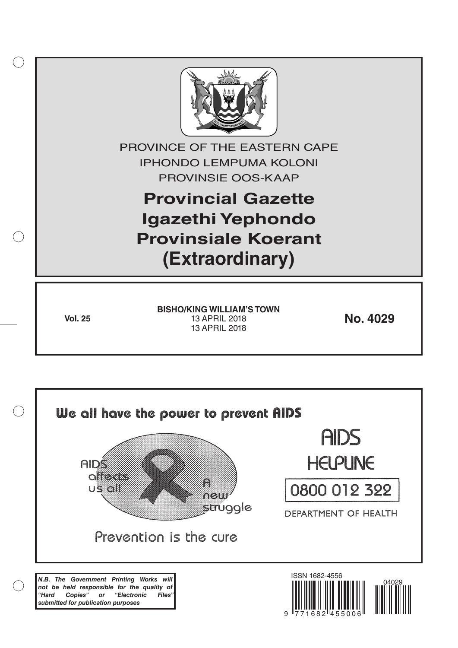

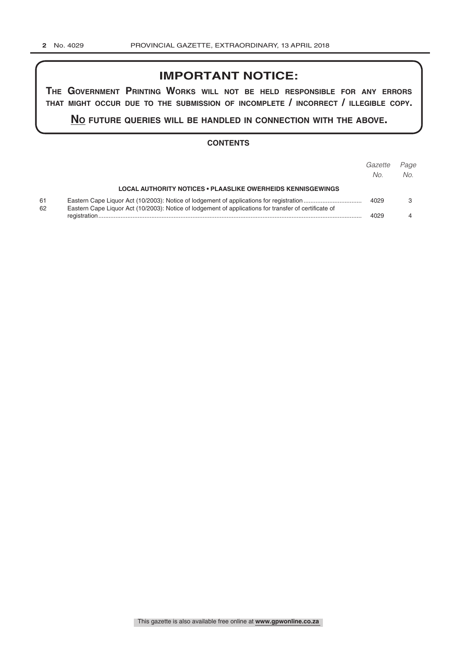# **IMPORTANT NOTICE:**

**The GovernmenT PrinTinG Works Will noT be held resPonsible for any errors ThaT miGhT occur due To The submission of incomPleTe / incorrecT / illeGible coPy.**

**no fuTure queries Will be handled in connecTion WiTh The above.**

## **CONTENTS**

|          |                                                                                                       | Gazette<br>No. | Page<br>No. |
|----------|-------------------------------------------------------------------------------------------------------|----------------|-------------|
|          | <b>LOCAL AUTHORITY NOTICES • PLAASLIKE OWERHEIDS KENNISGEWINGS</b>                                    |                |             |
| 61<br>62 | Eastern Cape Liquor Act (10/2003): Notice of lodgement of applications for transfer of certificate of | 4029           |             |
|          |                                                                                                       | 4029           |             |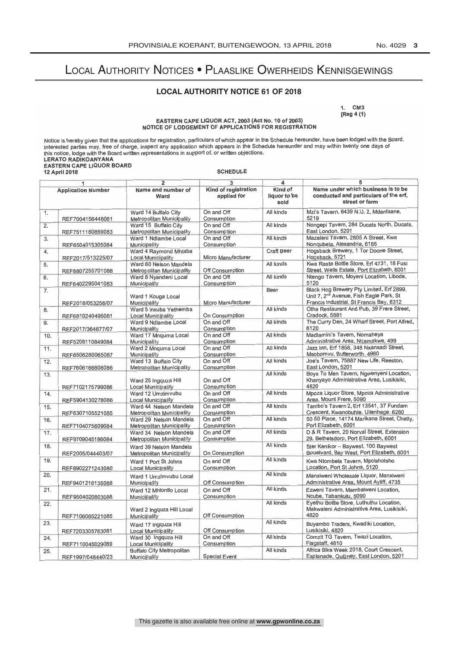# Local Authority Notices • Plaaslike Owerheids Kennisgewings

# **LOCAL AUTHORITY NOTICE 61 OF 2018**

1. CM3 [ $R$ eg 4 (1)

#### EASTERN CAPE LIQUOR ACT, 2003 (Act No. 10 of 2003) NOTICE OF LODGEMENT OF APPLICATIONS FOR REGISTRATION

Notice is hereby given that the applications for registration, particulars of which appear in the Schedule hereunder, have been lodged with the Board. Interested parties may, free of charge, inspect any application which appears in the Schedule hereunder and may within twenty one days of<br>this notice, lodge with the Board written representations in support of, or written EASTERN CAPE LIQUOR BOARD 12 April 2018 SCHEDULE

 $\overline{\phantom{a}}$ 

|     |                           |                                                          | ه                                          | 4                               |                                                                                                                                             |
|-----|---------------------------|----------------------------------------------------------|--------------------------------------------|---------------------------------|---------------------------------------------------------------------------------------------------------------------------------------------|
|     | <b>Application Number</b> | Name and number of<br>Ward                               | <b>Kind of registration</b><br>applied for | Kind of<br>liquor to be<br>sold | Name under which business is to be<br>conducted and particulars of the erf,<br>street or farm                                               |
| 1.  | REF7004156448081          | Ward 14 Buffalo City<br><b>Metropolitan Municipality</b> | On and Off<br>Consumption                  | All kinds                       | Mzi's Tavern, 6439 N.U. 2, Mdantsane,<br>5219                                                                                               |
| 2.  | REF7511180859083          | Ward 15 Buffalo City<br>Metropolitan Municipality        | On and Off<br>Consumption                  | All kinds                       | Nongepi Tavern, 284 Ducats North, Ducats,<br>East London, 5201                                                                              |
| 3.  | REF6504015305084          | Ward 1 Ndlambe Local<br>Municipality                     | On and Off<br>Consumption                  | All kinds                       | Mazaleni Tavem, 2805 A Street, Kwa<br>Nonqubela, Alexandria, 6185                                                                           |
| 4.  | REF2017/513225/07         | Ward 4 Raymond Mhiaba<br><b>Local Municipality</b>       | Micro Manufacturer                         | Craft Beer                      | Hogsback Brewery, 1 Tor Doone Street,<br>Hogsback, 5721                                                                                     |
| 5.  | REF8807255701088          | Ward 60 Nelson Mandela<br>Metropolitan Municipality      | Off Consumption                            | All kinds                       | Kwa Rasta Bottle Store, Erf 4731, 18 Fusi<br>Street, Wells Estate, Port Elizabeth, 6001                                                     |
| 6.  | REF6402295041083          | Ward 8 Nyandeni Local<br>Municipality                    | On and Off<br>Consumption                  | All kinds                       | Ntengo Tavern, Moyeni Location, Libode,<br>5120                                                                                             |
| 7.  | REF2018/053256/07         | Ward 1 Kouga Local<br>Municipality                       | Micro Manufacturer                         | Beer                            | Black Hog Brewery Pty Limited, Erf 2899,<br>Unit 7, 2 <sup>nd</sup> Avenue, Fish Eagle Park, St<br>Francis Industrial, St Francis Bay, 6312 |
| 8.  | REF6810240495081          | Ward 5 Inxuba Yethemba<br><b>Local Municipality</b>      | On Consumption                             | All kinds                       | Otha Restaurant And Pub, 39 Frere Street,<br>Cradock, 5881                                                                                  |
| 9.  | REF2017/364877/07         | Ward 9 Ndlambe Local<br>Municipality                     | On and Off<br>Consumption                  | All kinds                       | The Curry Den, 24 Wharf Street, Port Alfred,<br>6120                                                                                        |
| 10. | REF5208110849084          | Ward 17 Mnguma Local<br>Municipality                     | On and Off<br>Consumption                  | All kinds                       | Madlamini's Tavern, Nomaheya<br>Administrative Area, Ngamakwe, 499                                                                          |
| 11. | REF6506280065087          | Ward 2 Mnquma Local<br>Municipality                      | On and Off<br>Consumption                  | All kinds                       | Jazz Inn, Erf 1858, 348 Nxanxadi Street,<br>Msobomvu, Butterworth, 4960                                                                     |
| 12. | REF7606166808086          | Ward 13 Buffalo City<br>Metropolitan Municipality        | On and Off<br>Consumption                  | All kinds                       | Joe's Tavem, 75887 New Life, Reeston,<br>East London, 5201                                                                                  |
| 13. | REF7102175799086          | Ward 25 Ingquza Hill<br><b>Local Municipality</b>        | On and Off<br>Consumption                  | All kinds                       | Boys To Men Tavern, Ngwenyeni Location,<br>Khanyayo Administrative Area, Lusikisiki,<br>4820                                                |
| 14. | REF5904130278086          | Ward 12 Umzimvubu<br><b>Local Municipality</b>           | On and Off<br>Consumption                  | All kinds                       | Mpoza Liquor Store, Mpoza Administrative<br>Area, Mount Frere, 5090                                                                         |
| 15. | REF6307105521085          | Ward 44 Nelson Mandela<br>Metropolitan Municipality      | On and Off<br>Consumption                  | All kinds                       | Tambo's Tavern 2, Erf 13541, 37 Fundam<br>Crescent, Kwanobuhle, Uitenhage, 6280                                                             |
| 16. | REF7104075609084          | Ward 29 Nelson Mandela<br>Metropolitan Municipality      | On and Off<br>Consumption                  | All kinds                       | 50 50 Place, 14174 Marikana Street, Chatty,<br>Port Elizabeth, 6001                                                                         |
| 17. | REF9709045186084          | Ward 34 Nelson Mandela<br>Metropolitan Municipality      | On and Off<br>Consumption                  | All kinds                       | D & R Tavern, 20 Norval Street, Extension<br>29. Bethelsdorp, Port Elizabeth, 6001                                                          |
| 18. | REF2005/044403/07         | Ward 39 Nelson Mandela<br>Metropolitan Municipality      | On Consumption                             | All kinds                       | Ster Kenikor - Baywest, 100 Baywest<br>Bouelvard, Bay West, Port Elizabeth, 6001                                                            |
| 19. | REF8902271243080          | Ward 1 Port St Johns<br><b>Local Municipality</b>        | On and Off<br>Consumption                  | All kinds                       | Kwa Ntombela Tavern, Mpotshotsho<br>Location, Port St Johns, 5120                                                                           |
| 20. | REF9401216135088          | Ward 1 Umzimvubu Local<br>Municipality                   | Off Consumption                            | All kinds                       | Manxiweni Wholesale Liquor, Manxiweni<br>Administrative Area, Mount Ayliff, 4735                                                            |
| 21. | REF9504020803088          | Ward 12 Mhlontlo Local<br>Municipality                   | On and Off<br>Consumption                  | All kinds                       | Ezweni Tavern, Mambalweni Location,<br>Ncube, Tabankulu, 5090                                                                               |
| 22. | REF7106065221085          | Ward 2 Ingquza Hill Local<br>Municipality                | Off Consumption                            | All kinds                       | Eyethu Bottle Store, Luthuthu Location,<br>Makwaleni Administrative Area, Lusikisiki,<br>4820                                               |
| 23. | REF7203305763081          | Ward 17 Ingquza Hill<br><b>Local Municipality</b>        | Off Consumption                            | All kinds                       | Buyambo Traders, Kwadiki Location,<br>Lusikisiki, 4820                                                                                      |
| 24. | REF7110045029089          | Ward 30 Ingquza Hill<br><b>Local Municipality</b>        | On and Off<br>Consumption                  | All kinds                       | Comzit TG Tavem, Twazi Location,<br>Flagstaff, 4810                                                                                         |
| 25. | REF1997/048440/23         | <b>Buffalo City Metropolitan</b><br>Municipality         | <b>Special Event</b>                       | All kinds                       | Africa Bike Week 2018, Court Crescent,<br>Esplanade, Quigney, East London, 5201                                                             |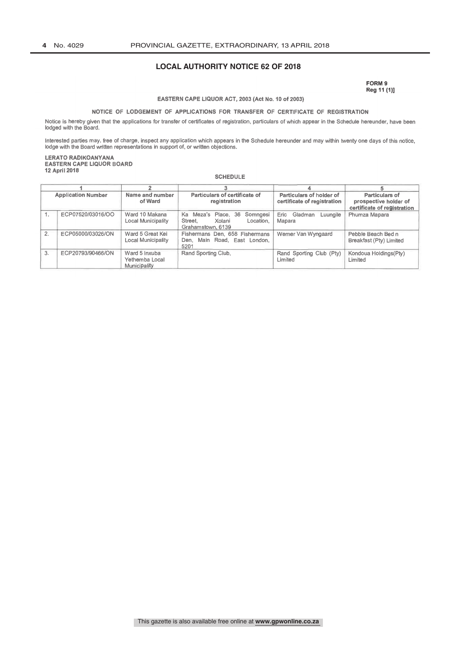## **LOCAL AUTHORITY NOTICE 62 OF 2018**

FORM 9 Reg 11 (1)]

## EASTERN CAPE LIQUOR ACT, 2003 (Act No. 10 of 2003)

## NOTICE OF LODGEMENT OF APPLICATIONS FOR TRANSFER OF CERTIFICATE OF REGISTRATION

Notice is hereby given that the applications for transfer of certificates of registration, particulars of which appear in the Schedule hereunder, have been lodged with the Board.

Interested parties may, free of charge, inspect any application which appears in the Schedule hereunder and may within twenty one days of this notice, lodge with the Board written representations in support of, or written objections.

### LERATO RADIKOANYANA EASTERN CAPE LIQUOR BOARD 12 April 2018

SCHEDULE

| <b>Application Number</b><br>of Ward |                   |                                                                  |                                                                                        |                                                         |                                                                        |
|--------------------------------------|-------------------|------------------------------------------------------------------|----------------------------------------------------------------------------------------|---------------------------------------------------------|------------------------------------------------------------------------|
|                                      |                   | Particulars of certificate of<br>Name and number<br>registration |                                                                                        | Particulars of holder of<br>certificate of registration | Particulars of<br>prospective holder of<br>certificate of registration |
|                                      | ECP07520/03016/OO | Ward 10 Makana<br>Local Municipality                             | Ka Meza's Place, 36<br>Somngesi<br>Location.<br>Street.<br>Xolani<br>Grahamstown, 6139 | Eric Gladman<br>Luungile<br>Mapara                      | Phumza Mapara                                                          |
| 2.                                   | ECP05000/03026/ON | Ward 5 Great Kei<br>Local Municipality                           | Fishermans Den, 658 Fishermans<br>Den, Main Road, East London,<br>5201                 | Werner Van Wyngaard                                     | Pebble Beach Bed n<br>Breakfast (Pty) Limited                          |
| 3.                                   | ECP20793/90466/ON | Ward 5 Inxuba<br>Yethemba Local<br>Municipality                  | Rand Sporting Club,                                                                    | Rand Sporting Club (Pty)<br>Limited                     | Kondoua Holdings(Pty)<br>Limited                                       |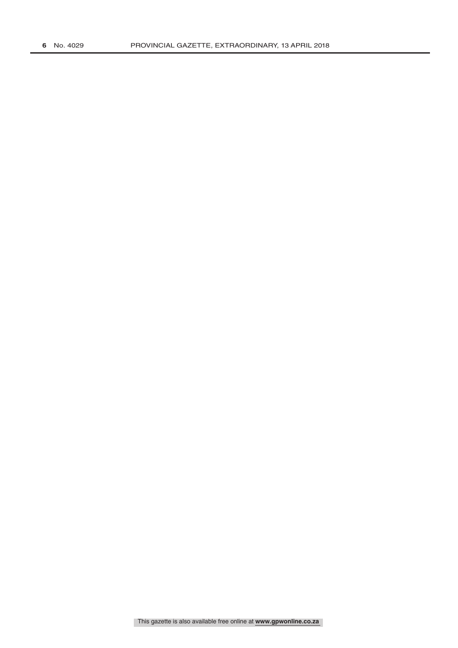This gazette is also available free online at **www.gpwonline.co.za**